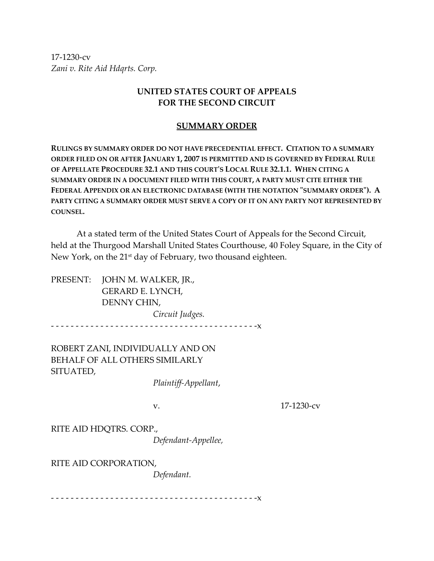17‐1230‐cv *Zani v. Rite Aid Hdqrts. Corp.*

## **UNITED STATES COURT OF APPEALS FOR THE SECOND CIRCUIT**

## **SUMMARY ORDER**

**RULINGS BY SUMMARY ORDER DO NOT HAVE PRECEDENTIAL EFFECT. CITATION TO A SUMMARY ORDER FILED ON OR AFTER JANUARY 1, 2007 IS PERMITTED AND IS GOVERNED BY FEDERAL RULE OF APPELLATE PROCEDURE 32.1 AND THIS COURTʹS LOCAL RULE 32.1.1. WHEN CITING A SUMMARY ORDER IN A DOCUMENT FILED WITH THIS COURT, A PARTY MUST CITE EITHER THE FEDERAL APPENDIX OR AN ELECTRONIC DATABASE (WITH THE NOTATION ʺSUMMARY ORDERʺ). A PARTY CITING A SUMMARY ORDER MUST SERVE A COPY OF IT ON ANY PARTY NOT REPRESENTED BY COUNSEL.**

At a stated term of the United States Court of Appeals for the Second Circuit, held at the Thurgood Marshall United States Courthouse, 40 Foley Square, in the City of New York, on the 21<sup>st</sup> day of February, two thousand eighteen.

PRESENT: JOHN M. WALKER, JR., GERARD E. LYNCH, DENNY CHIN,  *Circuit Judges.* ‐ ‐ ‐ ‐ ‐ ‐ ‐ ‐ ‐ ‐ ‐ ‐ ‐ ‐ ‐ ‐ ‐ ‐ ‐ ‐ ‐ ‐ ‐ ‐ ‐ ‐ ‐ ‐ ‐ ‐ ‐ ‐ ‐ ‐ ‐ ‐ ‐ ‐ ‐ ‐ ‐ ‐x

ROBERT ZANI, INDIVIDUALLY AND ON BEHALF OF ALL OTHERS SIMILARLY SITUATED,

 *Plaintiff‐Appellant*,

v. 17‐1230‐cv

RITE AID HDQTRS. CORP.,

*Defendant‐Appellee,*

RITE AID CORPORATION,

*Defendant.*

‐ ‐ ‐ ‐ ‐ ‐ ‐ ‐ ‐ ‐ ‐ ‐ ‐ ‐ ‐ ‐ ‐ ‐ ‐ ‐ ‐ ‐ ‐ ‐ ‐ ‐ ‐ ‐ ‐ ‐ ‐ ‐ ‐ ‐ ‐ ‐ ‐ ‐ ‐ ‐ ‐ ‐x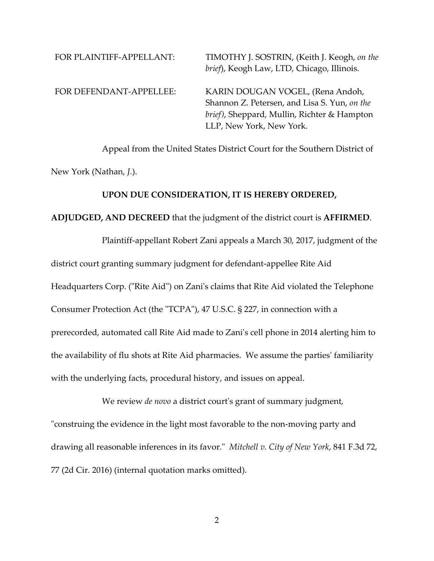| FOR PLAINTIFF-APPELLANT: | TIMOTHY J. SOSTRIN, (Keith J. Keogh, on the<br>brief), Keogh Law, LTD, Chicago, Illinois.                                                                   |
|--------------------------|-------------------------------------------------------------------------------------------------------------------------------------------------------------|
| FOR DEFENDANT-APPELLEE:  | KARIN DOUGAN VOGEL, (Rena Andoh,<br>Shannon Z. Petersen, and Lisa S. Yun, on the<br>brief), Sheppard, Mullin, Richter & Hampton<br>LLP, New York, New York. |

Appeal from the United States District Court for the Southern District of New York (Nathan, *J.*).

## **UPON DUE CONSIDERATION, IT IS HEREBY ORDERED,**

## **ADJUDGED, AND DECREED** that the judgment of the district court is **AFFIRMED**.

 Plaintiff‐appellant Robert Zani appeals a March 30, 2017, judgment of the district court granting summary judgment for defendant‐appellee Rite Aid Headquarters Corp. ("Rite Aid") on Zani's claims that Rite Aid violated the Telephone Consumer Protection Act (the "TCPA"), 47 U.S.C. § 227, in connection with a prerecorded, automated call Rite Aid made to Zaniʹs cell phone in 2014 alerting him to the availability of flu shots at Rite Aid pharmacies. We assume the parties' familiarity with the underlying facts, procedural history, and issues on appeal.

 We review *de novo* a district courtʹs grant of summary judgment*,* "construing the evidence in the light most favorable to the non-moving party and drawing all reasonable inferences in its favor.ʺ *Mitchell v. City of New York*, 841 F.3d 72, 77 (2d Cir. 2016) (internal quotation marks omitted).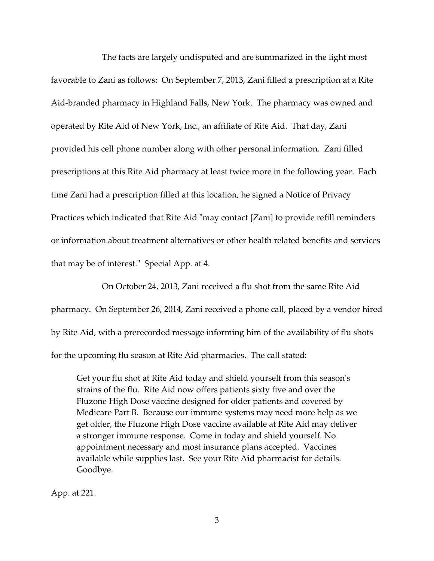The facts are largely undisputed and are summarized in the light most favorable to Zani as follows: On September 7, 2013, Zani filled a prescription at a Rite Aid‐branded pharmacy in Highland Falls, New York. The pharmacy was owned and operated by Rite Aid of New York, Inc., an affiliate of Rite Aid. That day, Zani provided his cell phone number along with other personal information. Zani filled prescriptions at this Rite Aid pharmacy at least twice more in the following year. Each time Zani had a prescription filled at this location, he signed a Notice of Privacy Practices which indicated that Rite Aid "may contact [Zani] to provide refill reminders or information about treatment alternatives or other health related benefits and services that may be of interest." Special App. at 4.

 On October 24, 2013, Zani received a flu shot from the same Rite Aid pharmacy. On September 26, 2014, Zani received a phone call, placed by a vendor hired by Rite Aid, with a prerecorded message informing him of the availability of flu shots for the upcoming flu season at Rite Aid pharmacies. The call stated:

Get your flu shot at Rite Aid today and shield yourself from this season's strains of the flu. Rite Aid now offers patients sixty five and over the Fluzone High Dose vaccine designed for older patients and covered by Medicare Part B. Because our immune systems may need more help as we get older, the Fluzone High Dose vaccine available at Rite Aid may deliver a stronger immune response. Come in today and shield yourself. No appointment necessary and most insurance plans accepted. Vaccines available while supplies last. See your Rite Aid pharmacist for details. Goodbye.

App. at 221.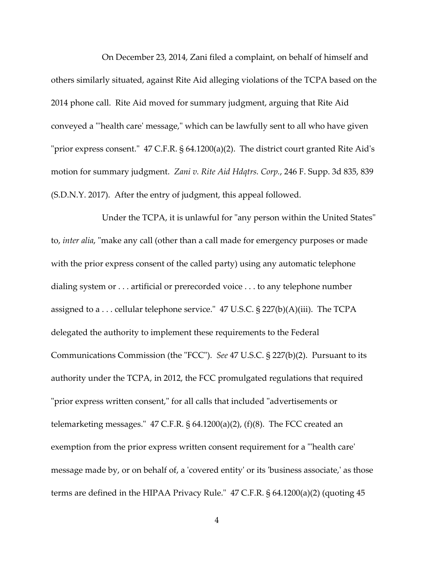On December 23, 2014, Zani filed a complaint, on behalf of himself and others similarly situated, against Rite Aid alleging violations of the TCPA based on the 2014 phone call. Rite Aid moved for summary judgment, arguing that Rite Aid conveyed a "health care' message," which can be lawfully sent to all who have given "prior express consent."  $47$  C.F.R. §  $64.1200(a)(2)$ . The district court granted Rite Aid's motion for summary judgment. *Zani v. Rite Aid Hdqtrs. Corp.*, 246 F. Supp. 3d 835, 839 (S.D.N.Y. 2017). After the entry of judgment, this appeal followed.

Under the TCPA, it is unlawful for "any person within the United States" to, *inter alia*, "make any call (other than a call made for emergency purposes or made with the prior express consent of the called party) using any automatic telephone dialing system or . . . artificial or prerecorded voice . . . to any telephone number assigned to a  $\dots$  cellular telephone service." 47 U.S.C. § 227(b)(A)(iii). The TCPA delegated the authority to implement these requirements to the Federal Communications Commission (the "FCC"). See 47 U.S.C. § 227(b)(2). Pursuant to its authority under the TCPA, in 2012, the FCC promulgated regulations that required "prior express written consent," for all calls that included "advertisements or telemarketing messages. $\degree$  47 C.F.R. § 64.1200(a)(2), (f)(8). The FCC created an exemption from the prior express written consent requirement for a "lhealth care' message made by, or on behalf of, a 'covered entity' or its 'business associate,' as those terms are defined in the HIPAA Privacy Rule.<sup> $\degree$ </sup> 47 C.F.R. § 64.1200(a)(2) (quoting 45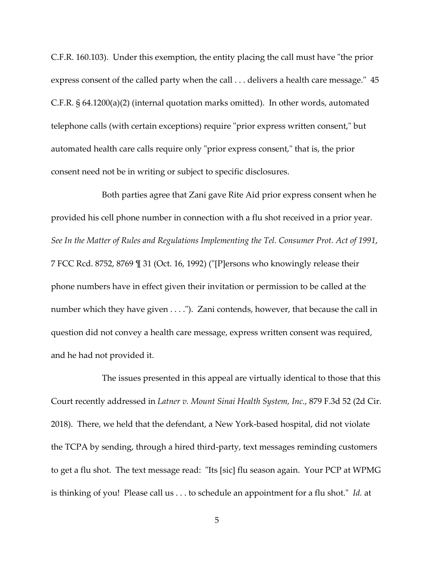C.F.R. 160.103). Under this exemption, the entity placing the call must have "the prior express consent of the called party when the call  $\ldots$  delivers a health care message." 45 C.F.R. § 64.1200(a)(2) (internal quotation marks omitted). In other words, automated telephone calls (with certain exceptions) require "prior express written consent," but automated health care calls require only "prior express consent," that is, the prior consent need not be in writing or subject to specific disclosures.

 Both parties agree that Zani gave Rite Aid prior express consent when he provided his cell phone number in connection with a flu shot received in a prior year. *See In the Matter of Rules and Regulations Implementing the Tel. Consumer Prot. Act of 1991*, 7 FCC Rcd. 8752, 8769  $\mathbb{I}$  31 (Oct. 16, 1992) ("[P]ersons who knowingly release their phone numbers have in effect given their invitation or permission to be called at the number which they have given . . . ."). Zani contends, however, that because the call in question did not convey a health care message, express written consent was required, and he had not provided it.

 The issues presented in this appeal are virtually identical to those that this Court recently addressed in *Latner v. Mount Sinai Health System, Inc.*, 879 F.3d 52 (2d Cir. 2018). There, we held that the defendant, a New York‐based hospital, did not violate the TCPA by sending, through a hired third‐party, text messages reminding customers to get a flu shot. The text message read: "Its [sic] flu season again. Your PCP at WPMG is thinking of you! Please call us . . . to schedule an appointment for a flu shot." *Id.* at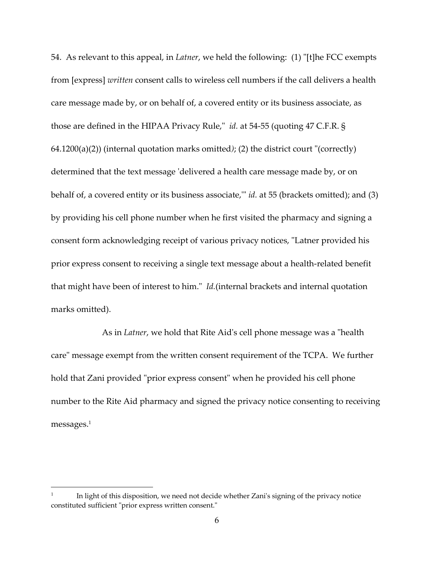54. As relevant to this appeal, in *Latner*, we held the following: (1) "[t]he FCC exempts from [express] *written* consent calls to wireless cell numbers if the call delivers a health care message made by, or on behalf of, a covered entity or its business associate, as those are defined in the HIPAA Privacy Rule,<sup>"</sup> *id.* at 54-55 (quoting 47 C.F.R. § 64.1200(a)(2)) (internal quotation marks omitted); (2) the district court "(correctly) determined that the text message 'delivered a health care message made by, or on behalf of, a covered entity or its business associate," *id.* at 55 (brackets omitted); and (3) by providing his cell phone number when he first visited the pharmacy and signing a consent form acknowledging receipt of various privacy notices, "Latner provided his prior express consent to receiving a single text message about a health‐related benefit that might have been of interest to him." *Id.*(internal brackets and internal quotation marks omitted).

As in *Latner*, we hold that Rite Aid's cell phone message was a "health care" message exempt from the written consent requirement of the TCPA. We further hold that Zani provided "prior express consent" when he provided his cell phone number to the Rite Aid pharmacy and signed the privacy notice consenting to receiving messages.1

 $\overline{a}$ 

<sup>1</sup> In light of this disposition, we need not decide whether Zaniʹs signing of the privacy notice constituted sufficient "prior express written consent."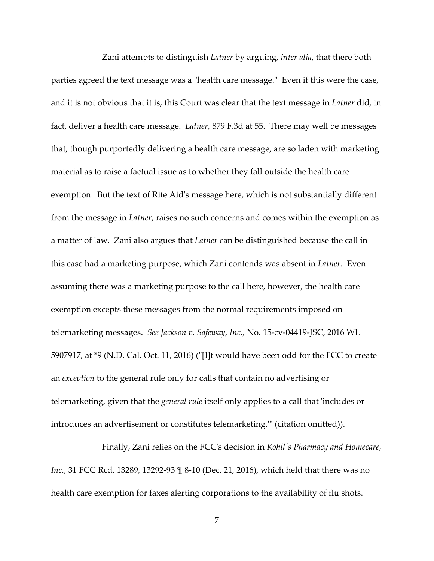Zani attempts to distinguish *Latner* by arguing, *inter alia*, that there both parties agreed the text message was a "health care message." Even if this were the case, and it is not obvious that it is, this Court was clear that the text message in *Latner* did, in fact, deliver a health care message. *Latner*, 879 F.3d at 55. There may well be messages that, though purportedly delivering a health care message, are so laden with marketing material as to raise a factual issue as to whether they fall outside the health care exemption. But the text of Rite Aidʹs message here, which is not substantially different from the message in *Latner*, raises no such concerns and comes within the exemption as a matter of law. Zani also argues that *Latner* can be distinguished because the call in this case had a marketing purpose, which Zani contends was absent in *Latner*. Even assuming there was a marketing purpose to the call here, however, the health care exemption excepts these messages from the normal requirements imposed on telemarketing messages. *See Jackson v. Safeway, Inc.,* No. 15‐cv‐04419‐JSC, 2016 WL 5907917, at  $*$ 9 (N.D. Cal. Oct. 11, 2016) ("[I]t would have been odd for the FCC to create an *exception* to the general rule only for calls that contain no advertising or telemarketing, given that the *general rule* itself only applies to a call that ʹincludes or introduces an advertisement or constitutes telemarketing." (citation omitted)).

 Finally, Zani relies on the FCCʹs decision in *Kohllʹs Pharmacy and Homecare, Inc.*, 31 FCC Rcd. 13289, 13292-93 ¶ 8-10 (Dec. 21, 2016), which held that there was no health care exemption for faxes alerting corporations to the availability of flu shots.